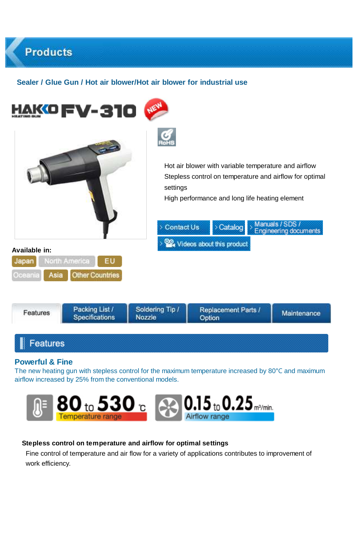# **Sealer / Glue Gun / Hot air blower/Hot air blower for industrial use**

**Products** 





#### **Stepless control on temperature and airflow for optimal settings**

Fine control of temperature and air flow for a variety of applications contributes to improvement of work efficiency.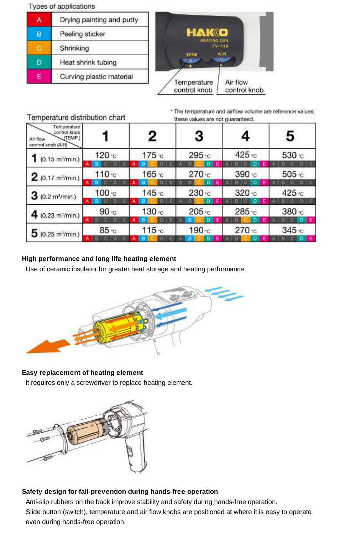#### Types of applications

|  | Drying painting and putty<br>Peeling sticker |  |  |
|--|----------------------------------------------|--|--|
|  |                                              |  |  |
|  | Shrinking                                    |  |  |
|  | Heat shrink tubing                           |  |  |
|  | Curving plastic material                     |  |  |

Temperature distribution chart



\* The temperature and airflow volume are reference values; these values are not ouaranteed.

|                                                                          | the second company of the control of the company and second con- |                    |                   |                    |                  |  |
|--------------------------------------------------------------------------|------------------------------------------------------------------|--------------------|-------------------|--------------------|------------------|--|
| Temperature<br>control knob<br>(TEMP.)<br>Air flow<br>control knob (AIR) |                                                                  | 2                  | 3                 | 4                  | 5                |  |
| $1$ (0.15 m <sup>3</sup> /min.)                                          | 120c                                                             | 175 <sub>°</sub> c | 295 °C            | 425 °C             | 530 °C           |  |
| 2(0.17 m <sup>3</sup> /min.)                                             | 110C                                                             | 165C               | 270C              | 390C               | 505 °C           |  |
| $3(0.2 \text{ m}^3/\text{min.})$                                         | 100C                                                             | 145c               | $230 - c$         | 320C               | 425 c            |  |
| 4 (0.23 m <sup>3</sup> /min.)                                            | 90 <sub>c</sub>                                                  | 130C               | $205 - c$         | 285 °C             | 380 °C           |  |
| $5(0.25 \text{ m}^3/\text{min.})$                                        | $85 - c$                                                         | 115c               | 190 <sub>°c</sub> | 270C<br><b>PER</b> | 345 <sub>2</sub> |  |

### **High performance and long life heating element**

Use of ceramic insulator for greater heat storage and heating performance.



## **Easy replacement of heating element**

It requires only a screwdriver to replace heating element.



#### **Safety design for fall-prevention during hands-free operation**

Anti-slip rubbers on the back improve stability and safety during hands-free operation. Slide button (switch), temperature and air flow knobs are positioned at where it is easy to operate even during hands-free operation.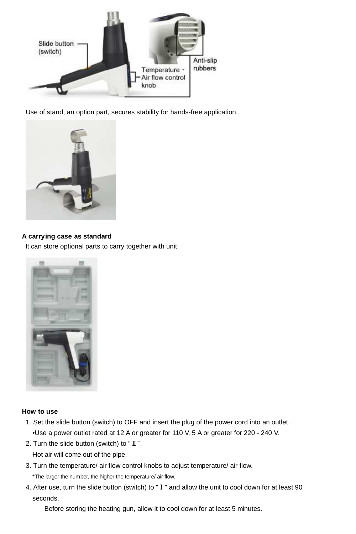

Use of stand, an option part, secures stability for hands-free application.



#### **A carrying case as standard**

It can store optional parts to carry together with unit.



## **How to use**

- 1. Set the slide button (switch) to OFF and insert the plug of the power cord into an outlet. •Use a power outlet rated at 12 A or greater for 110 V, 5 A or greater for 220 - 240 V.
- 2. Turn the slide button (switch) to "Ⅱ".
	- Hot air will come out of the pipe.
- 3. Turn the temperature/ air flow control knobs to adjust temperature/ air flow.
	- \*The larger the number, the higher the temperature/ air flow.
- 4. After use, turn the slide button (switch) to "Ⅰ" and allow the unit to cool down for at least 90 seconds.

Before storing the heating gun, allow it to cool down for at least 5 minutes.